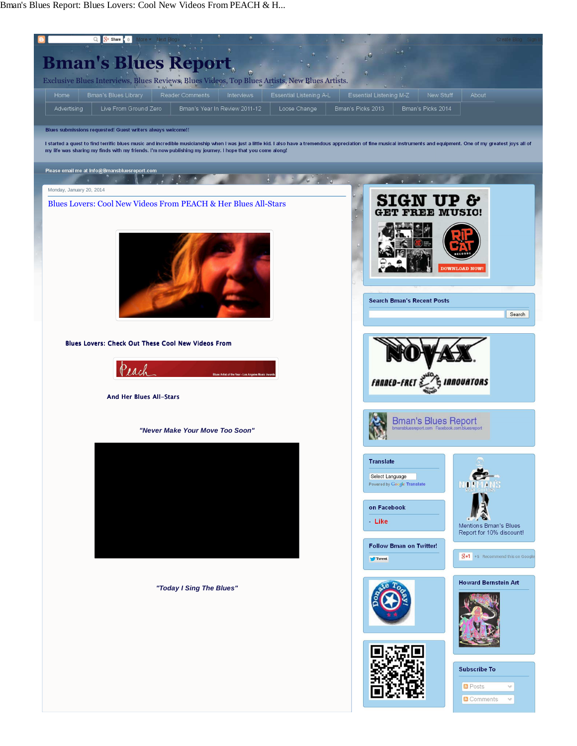Bman's Blues Report: Blues Lovers: Cool New Videos From PEACH & H...